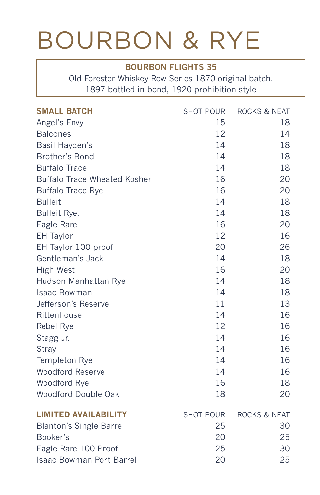## BOURBON & RYE

### **BOURBON FLIGHTS 35**

Old Forester Whiskey Row Series 1870 original batch, 1897 bottled in bond, 1920 prohibition style

| <b>SMALL BATCH</b>                  | <b>SHOT POUR</b> | <b>ROCKS &amp; NEAT</b> |
|-------------------------------------|------------------|-------------------------|
| Angel's Envy                        | 15               | 18                      |
| <b>Balcones</b>                     | 12               | 14                      |
| Basil Hayden's                      | 14               | 18                      |
| Brother's Bond                      | 14               | 18                      |
| <b>Buffalo Trace</b>                | 14               | 18                      |
| <b>Buffalo Trace Wheated Kosher</b> | 16               | 20                      |
| <b>Buffalo Trace Rye</b>            | 16               | 20                      |
| <b>Bulleit</b>                      | 14               | 18                      |
| Bulleit Rye,                        | 14               | 18                      |
| Eagle Rare                          | 16               | 20                      |
| <b>EH</b> Taylor                    | 12               | 16                      |
| EH Taylor 100 proof                 | 20               | 26                      |
| Gentleman's Jack                    | 14               | 18                      |
| High West                           | 16               | 20                      |
| Hudson Manhattan Rye                | 14               | 18                      |
| <b>Isaac Bowman</b>                 | 14               | 18                      |
| Jefferson's Reserve                 | 11               | 13                      |
| Rittenhouse                         | 14               | 16                      |
| Rebel Rye                           | 12               | 16                      |
| Stagg Jr.                           | 14               | 16                      |
| Stray                               | 14               | 16                      |
| Templeton Rye                       | 14               | 16                      |
| <b>Woodford Reserve</b>             | 14               | 16                      |
| Woodford Rye                        | 16               | 18                      |
| Woodford Double Oak                 | 18               | 20                      |
| <b>LIMITED AVAILABILITY</b>         | <b>SHOT POUR</b> | <b>ROCKS &amp; NEAT</b> |
| <b>Blanton's Single Barrel</b>      | 25               | 30                      |
| Booker's                            | 20               | 25                      |
| Eagle Rare 100 Proof                | 25               | 30                      |
| Isaac Bowman Port Barrel            | 20               | 25                      |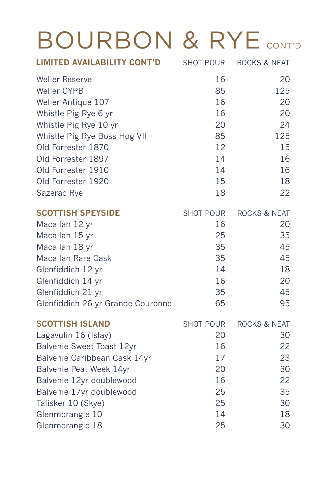# BOURBON & RYE CONT'D

| <b>LIMITED AVAILABILITY CONT'D</b> | <b>SHOT POUR</b> | ROCKS & NEAT            |
|------------------------------------|------------------|-------------------------|
| Weller Reserve                     | 16               | 20                      |
| Weller CYPB                        | 85               | 125                     |
| Weller Antique 107                 | 16               | 20                      |
| Whistle Pig Rye 6 yr               | 16               | 20                      |
| Whistle Pig Rye 10 yr              | 20               | 24                      |
| Whistle Pig Rye Boss Hog VII       | 85               | 125                     |
| Old Forrester 1870                 | 12               | 15                      |
| Old Forrester 1897                 | 14               | 16                      |
| Old Forrester 1910                 | 14               | 16                      |
| Old Forrester 1920                 | 15               | 18                      |
| Sazerac Rye                        | 18               | 22                      |
| <b>SCOTTISH SPEYSIDE</b>           | <b>SHOT POUR</b> | ROCKS & NEAT            |
| Macallan 12 yr                     | 16               | 20                      |
| Macallan 15 yr                     | 25               | 35                      |
| Macallan 18 yr                     | 35               | 45                      |
| <b>Macallan Rare Cask</b>          | 35               | 45                      |
| Glenfiddich 12 yr                  | 14               | 18                      |
| Glenfiddich 14 yr                  | 16               | 20                      |
| Glenfiddich 21 yr                  | 35               | 45                      |
| Glenfiddich 26 yr Grande Couronne  | 65               | 95                      |
| <b>SCOTTISH ISLAND</b>             | <b>SHOT POUR</b> | <b>ROCKS &amp; NEAT</b> |
| Lagavulin 16 (Islay)               | 20               | 30                      |
| Balvenie Sweet Toast 12yr          | 16               | 22                      |
| Balvenie Caribbean Cask 14yr       | 17               | 23                      |
| Balvenie Peat Week 14yr            | 20               | 30                      |
| Balvenie 12yr doublewood           | 16               | 22                      |
| Balvenie 17yr doublewood           | 25               | 35                      |
| Talisker 10 (Skye)                 | 25               | 30                      |
| Glenmorangie 10                    | 14               | 18                      |
| Glenmorangie 18                    | 25               | 30                      |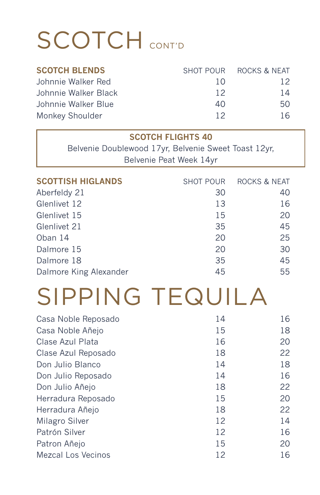# SCOTCH CONT'D

| <b>SCOTCH BLENDS</b> |     | SHOT POUR ROCKS & NEAT |
|----------------------|-----|------------------------|
| Johnnie Walker Red   | 1 O | 12.                    |
| Johnnie Walker Black | 12  | 14                     |
| Johnnie Walker Blue  | 40  | 50.                    |
| Monkey Shoulder      | 12  | 16                     |

| <b>SCOTCH FLIGHTS 40</b> |
|--------------------------|
|--------------------------|

Belvenie Doublewood 17yr, Belvenie Sweet Toast 12yr, Belvenie Peat Week 14yr

| <b>SCOTTISH HIGLANDS</b> | <b>SHOT POUR</b> | ROCKS & NEAT |
|--------------------------|------------------|--------------|
| Aberfeldy 21             | 30               | 40           |
| Glenlivet 12             | 13               | 16           |
| Glenlivet 15             | 15               | 20           |
| Glenlivet 21             | 35               | 45           |
| Oban 14                  | 20               | 25           |
| Dalmore 15               | 20               | 30           |
| Dalmore 18               | 35               | 45           |
| Dalmore King Alexander   | 45               | 55           |

## SIPPING TEQUILA

| Casa Noble Reposado | 14 | 16 |
|---------------------|----|----|
| Casa Noble Añejo    | 15 | 18 |
| Clase Azul Plata    | 16 | 20 |
| Clase Azul Reposado | 18 | 22 |
| Don Julio Blanco    | 14 | 18 |
| Don Julio Reposado  | 14 | 16 |
| Don Julio Añejo     | 18 | 22 |
| Herradura Reposado  | 15 | 20 |
| Herradura Añejo     | 18 | 22 |
| Milagro Silver      | 12 | 14 |
| Patrón Silver       | 12 | 16 |
| Patron Añejo        | 15 | 20 |
| Mezcal Los Vecinos  | 12 | 16 |
|                     |    |    |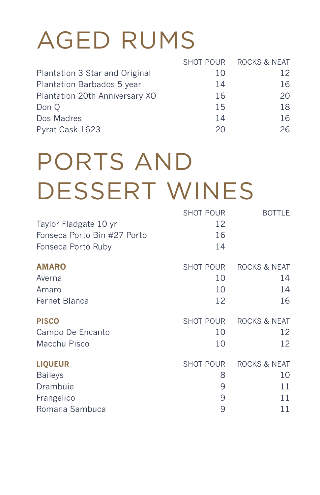# AGED RUMS

|                                |    | SHOT POUR ROCKS & NEAT |
|--------------------------------|----|------------------------|
| Plantation 3 Star and Original | 10 | 12                     |
| Plantation Barbados 5 year     | 14 | 16                     |
| Plantation 20th Anniversary XO | 16 | 20                     |
| Don Q                          | 15 | 18                     |
| Dos Madres                     | 14 | 16                     |
| Pyrat Cask 1623                | 20 | 26                     |
|                                |    |                        |

# PORTS AND DESSERT WINES

|                             | <b>SHOT POUR</b> | <b>BOTTLE</b>           |
|-----------------------------|------------------|-------------------------|
| Taylor Fladgate 10 yr       | 12               |                         |
| Fonseca Porto Bin #27 Porto | 16               |                         |
| Fonseca Porto Ruby          | 14               |                         |
| <b>AMARO</b>                | <b>SHOT POUR</b> | <b>ROCKS &amp; NEAT</b> |
| Averna                      | 10               | 14                      |
| Amaro                       | 10               | 14                      |
| Fernet Blanca               | 12               | 16                      |
| <b>PISCO</b>                | <b>SHOT POUR</b> | ROCKS & NEAT            |
| Campo De Encanto            | 10               | 12                      |
| Macchu Pisco                | 10               | 12                      |
| <b>LIQUEUR</b>              | <b>SHOT POUR</b> | ROCKS & NEAT            |
| <b>Baileys</b>              | 8                | 10                      |
| Drambuie                    | 9                | 11                      |
| Frangelico                  | 9                | 11                      |
| Romana Sambuca              | 9                | 11                      |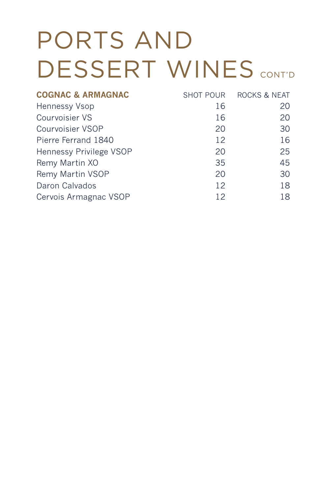# PORTS AND DESSERT WINES CONT'D

|    | <b>ROCKS &amp; NEAT</b> |
|----|-------------------------|
| 16 | 20                      |
| 16 | 20                      |
| 20 | 30                      |
| 12 | 16                      |
| 20 | 25                      |
| 35 | 45                      |
| 20 | 30                      |
| 12 | 18                      |
| 12 | 18                      |
|    | SHOT POUR               |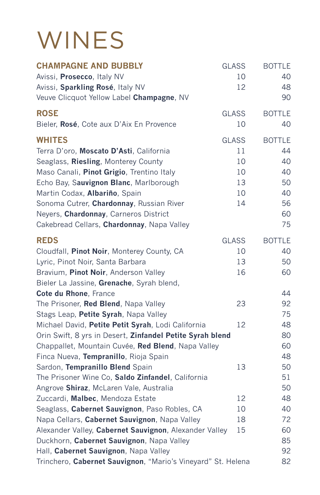## **WINES**

| <b>CHAMPAGNE AND BUBBLY</b><br>Avissi, Prosecco, Italy NV<br>Avissi, Sparkling Rosé, Italy NV<br>Veuve Clicquot Yellow Label Champagne, NV                                                                                                                                                                                                                 | <b>GLASS</b><br>10<br>12                         | <b>BOTTLE</b><br>40<br>48<br>90                               |
|------------------------------------------------------------------------------------------------------------------------------------------------------------------------------------------------------------------------------------------------------------------------------------------------------------------------------------------------------------|--------------------------------------------------|---------------------------------------------------------------|
| <b>ROSE</b><br>Bieler, Rosé, Cote aux D'Aix En Provence                                                                                                                                                                                                                                                                                                    | <b>GLASS</b><br>10                               | <b>BOTTLE</b><br>40                                           |
| <b>WHITES</b><br>Terra D'oro, Moscato D'Asti, California<br>Seaglass, Riesling, Monterey County<br>Maso Canali, Pinot Grigio, Trentino Italy<br>Echo Bay, Sauvignon Blanc, Marlborough<br>Martin Codax, Albariño, Spain<br>Sonoma Cutrer, Chardonnay, Russian River<br>Neyers, Chardonnay, Carneros District<br>Cakebread Cellars, Chardonnay, Napa Valley | <b>GLASS</b><br>11<br>10<br>10<br>13<br>10<br>14 | <b>BOTTLE</b><br>44<br>40<br>40<br>50<br>40<br>56<br>60<br>75 |
| <b>REDS</b><br>Cloudfall, Pinot Noir, Monterey County, CA<br>Lyric, Pinot Noir, Santa Barbara<br>Bravium, Pinot Noir, Anderson Valley<br>Bieler La Jassine, Grenache, Syrah blend,                                                                                                                                                                         | <b>GLASS</b><br>10<br>13<br>16                   | <b>BOTTLE</b><br>40<br>50<br>60                               |
| Cote du Rhone, France<br>The Prisoner, Red Blend, Napa Valley<br>Stags Leap, Petite Syrah, Napa Valley                                                                                                                                                                                                                                                     | 23                                               | 44<br>92<br>75                                                |
| Michael David, Petite Petit Syrah, Lodi California<br>Orin Swift, 8 yrs in Desert, Zinfandel Petite Syrah blend<br>Chappallet, Mountain Cuvée, Red Blend, Napa Valley<br>Finca Nueva, Tempranillo, Rioja Spain                                                                                                                                             | 12                                               | 48<br>80<br>60<br>48                                          |
| Sardon, Tempranillo Blend Spain<br>The Prisoner Wine Co, Saldo Zinfandel, California<br>Angrove Shiraz, McLaren Vale, Australia                                                                                                                                                                                                                            | 13                                               | 50<br>51<br>50                                                |
| Zuccardi, Malbec, Mendoza Estate                                                                                                                                                                                                                                                                                                                           | 12                                               | 48                                                            |
| Seaglass, Cabernet Sauvignon, Paso Robles, CA                                                                                                                                                                                                                                                                                                              | 10                                               | 40                                                            |
| Napa Cellars, Cabernet Sauvignon, Napa Valley                                                                                                                                                                                                                                                                                                              | 18                                               | 72                                                            |
| Alexander Valley, Cabernet Sauvignon, Alexander Valley                                                                                                                                                                                                                                                                                                     | 15                                               | 60                                                            |
| Duckhorn, Cabernet Sauvignon, Napa Valley                                                                                                                                                                                                                                                                                                                  |                                                  | 85                                                            |
| Hall, Cabernet Sauvignon, Napa Valley                                                                                                                                                                                                                                                                                                                      |                                                  | 92                                                            |
| Trinchero, Cabernet Sauvignon, "Mario's Vineyard" St. Helena                                                                                                                                                                                                                                                                                               |                                                  | 82                                                            |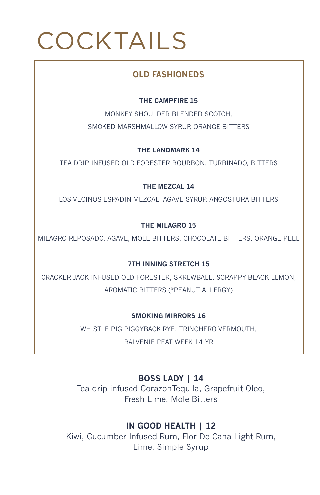# COCKTAILS

### **OLD FASHIONEDS**

#### **THE CAMPFIRE 15**

MONKEY SHOULDER BLENDED SCOTCH, SMOKED MARSHMALLOW SYRUP, ORANGE BITTERS

**THE LANDMARK 14**

TEA DRIP INFUSED OLD FORESTER BOURBON, TURBINADO, BITTERS

**THE MEZCAL 14** 

LOS VECINOS ESPADIN MEZCAL, AGAVE SYRUP, ANGOSTURA BITTERS

#### **THE MILAGRO 15**

MILAGRO REPOSADO, AGAVE, MOLE BITTERS, CHOCOLATE BITTERS, ORANGE PEEL

#### **7TH INNING STRETCH 15**

CRACKER JACK INFUSED OLD FORESTER, SKREWBALL, SCRAPPY BLACK LEMON, AROMATIC BITTERS (\*PEANUT ALLERGY)

**SMOKING MIRRORS 16** 

WHISTLE PIG PIGGYBACK RYE, TRINCHERO VERMOUTH,

BALVENIE PEAT WEEK 14 YR

## **BOSS LADY | 14**

Tea drip infused CorazonTequila, Grapefruit Oleo, Fresh Lime, Mole Bitters

### **IN GOOD HEALTH | 12**

Kiwi, Cucumber Infused Rum, Flor De Cana Light Rum, Lime, Simple Syrup